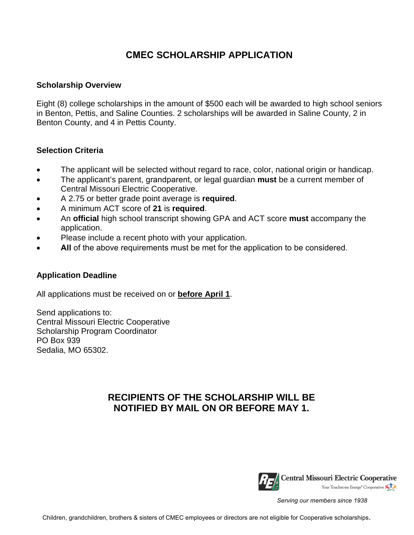# **CMEC SCHOLARSHIP APPLICATION**

#### **Scholarship Overview**

Eight (8) college scholarships in the amount of \$500 each will be awarded to high school seniors in Benton, Pettis, and Saline Counties. 2 scholarships will be awarded in Saline County, 2 in Benton County, and 4 in Pettis County.

#### **Selection Criteria**

- The applicant will be selected without regard to race, color, national origin or handicap.
- The applicant's parent, grandparent, or legal guardian **must** be a current member of Central Missouri Electric Cooperative.
- A 2.75 or better grade point average is **required**.
- A minimum ACT score of **21** is **required**.
- An **official** high school transcript showing GPA and ACT score **must** accompany the application.
- Please include a recent photo with your application.
- All of the above requirements must be met for the application to be considered.

### **Application Deadline**

All applications must be received on or **before April 1**.

Send applications to: Central Missouri Electric Cooperative Scholarship Program Coordinator PO Box 939 Sedalia, MO 65302.

## **RECIPIENTS OF THE SCHOLARSHIP WILL BE NOTIFIED BY MAIL ON OR BEFORE MAY 1.**



*Serving our members since 1938*